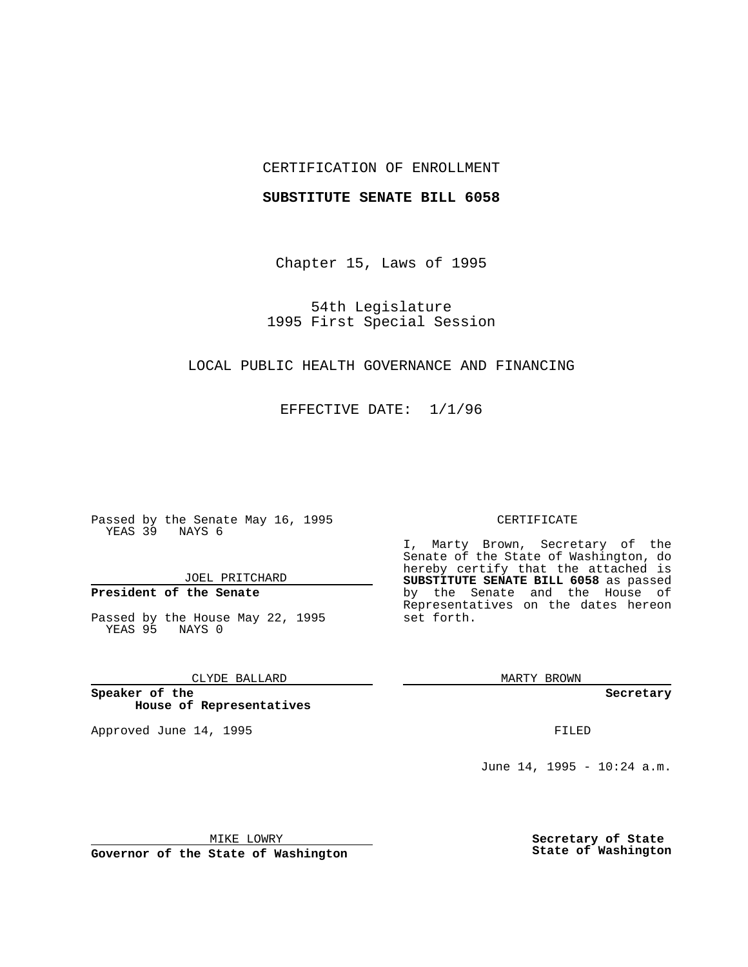## CERTIFICATION OF ENROLLMENT

### **SUBSTITUTE SENATE BILL 6058**

Chapter 15, Laws of 1995

54th Legislature 1995 First Special Session

## LOCAL PUBLIC HEALTH GOVERNANCE AND FINANCING

EFFECTIVE DATE: 1/1/96

Passed by the Senate May 16, 1995 YEAS 39 NAYS 6

JOEL PRITCHARD

# **President of the Senate**

Passed by the House May 22, 1995 YEAS 95 NAYS 0

CLYDE BALLARD

**Speaker of the House of Representatives**

Approved June 14, 1995 **FILED** 

#### CERTIFICATE

I, Marty Brown, Secretary of the Senate of the State of Washington, do hereby certify that the attached is **SUBSTITUTE SENATE BILL 6058** as passed by the Senate and the House of Representatives on the dates hereon set forth.

MARTY BROWN

**Secretary**

June 14, 1995 - 10:24 a.m.

MIKE LOWRY

**Governor of the State of Washington**

**Secretary of State State of Washington**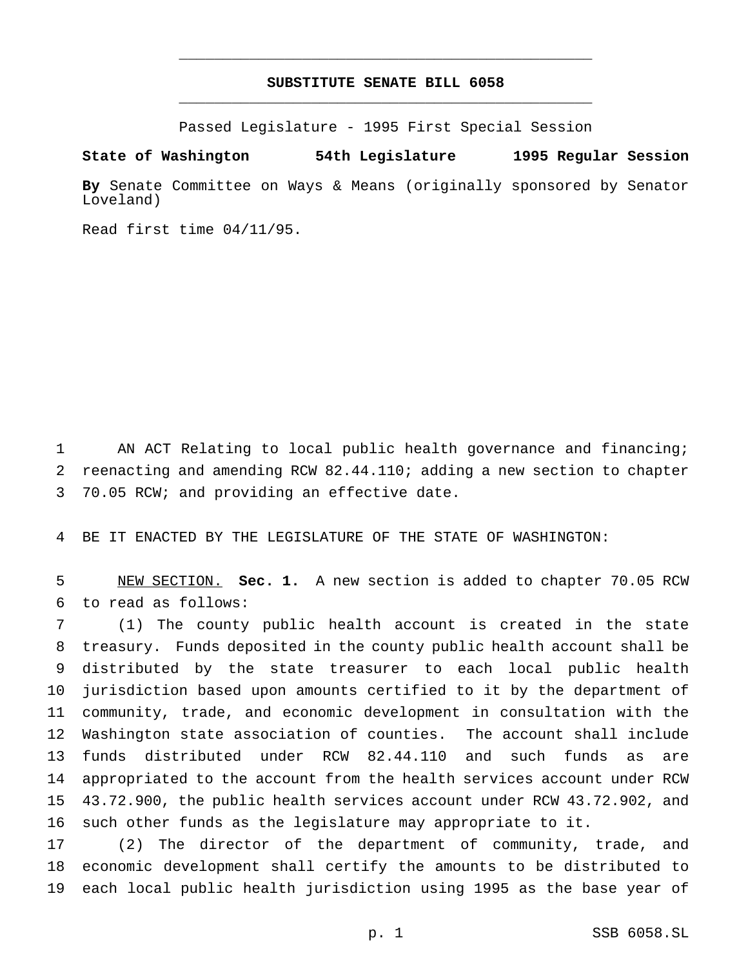## **SUBSTITUTE SENATE BILL 6058** \_\_\_\_\_\_\_\_\_\_\_\_\_\_\_\_\_\_\_\_\_\_\_\_\_\_\_\_\_\_\_\_\_\_\_\_\_\_\_\_\_\_\_\_\_\_\_

\_\_\_\_\_\_\_\_\_\_\_\_\_\_\_\_\_\_\_\_\_\_\_\_\_\_\_\_\_\_\_\_\_\_\_\_\_\_\_\_\_\_\_\_\_\_\_

Passed Legislature - 1995 First Special Session

**State of Washington 54th Legislature 1995 Regular Session**

**By** Senate Committee on Ways & Means (originally sponsored by Senator Loveland)

Read first time 04/11/95.

 AN ACT Relating to local public health governance and financing; reenacting and amending RCW 82.44.110; adding a new section to chapter 70.05 RCW; and providing an effective date.

BE IT ENACTED BY THE LEGISLATURE OF THE STATE OF WASHINGTON:

 NEW SECTION. **Sec. 1.** A new section is added to chapter 70.05 RCW to read as follows:

 (1) The county public health account is created in the state treasury. Funds deposited in the county public health account shall be distributed by the state treasurer to each local public health jurisdiction based upon amounts certified to it by the department of community, trade, and economic development in consultation with the Washington state association of counties. The account shall include funds distributed under RCW 82.44.110 and such funds as are appropriated to the account from the health services account under RCW 43.72.900, the public health services account under RCW 43.72.902, and such other funds as the legislature may appropriate to it.

 (2) The director of the department of community, trade, and economic development shall certify the amounts to be distributed to each local public health jurisdiction using 1995 as the base year of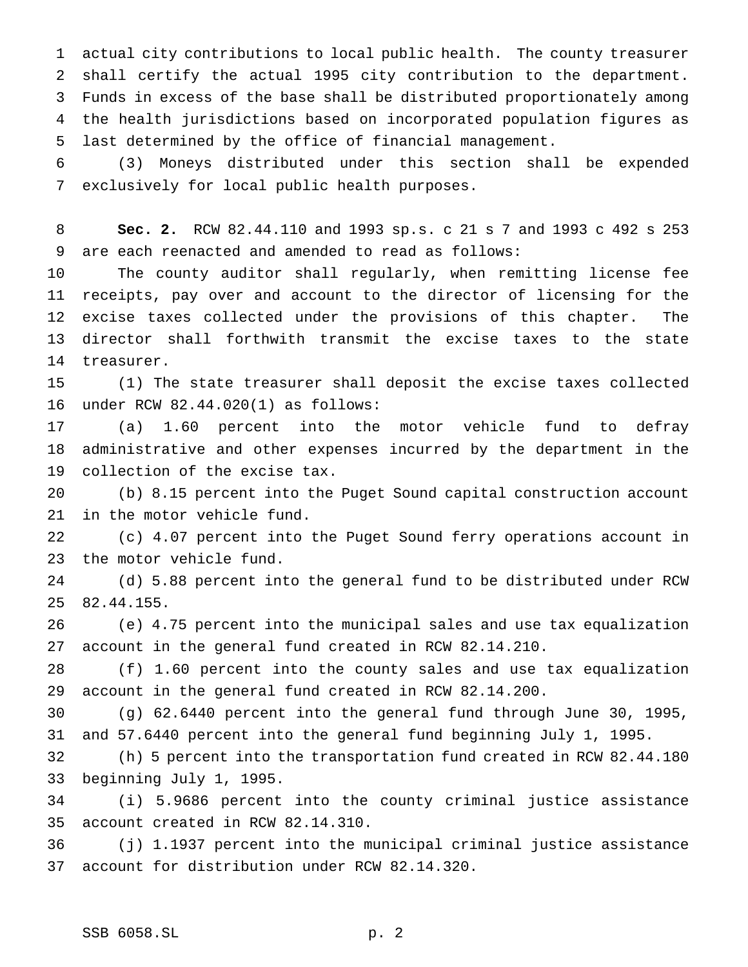actual city contributions to local public health. The county treasurer shall certify the actual 1995 city contribution to the department. Funds in excess of the base shall be distributed proportionately among the health jurisdictions based on incorporated population figures as last determined by the office of financial management.

 (3) Moneys distributed under this section shall be expended exclusively for local public health purposes.

 **Sec. 2.** RCW 82.44.110 and 1993 sp.s. c 21 s 7 and 1993 c 492 s 253 are each reenacted and amended to read as follows:

 The county auditor shall regularly, when remitting license fee receipts, pay over and account to the director of licensing for the excise taxes collected under the provisions of this chapter. The director shall forthwith transmit the excise taxes to the state treasurer.

 (1) The state treasurer shall deposit the excise taxes collected under RCW 82.44.020(1) as follows:

 (a) 1.60 percent into the motor vehicle fund to defray administrative and other expenses incurred by the department in the collection of the excise tax.

 (b) 8.15 percent into the Puget Sound capital construction account in the motor vehicle fund.

 (c) 4.07 percent into the Puget Sound ferry operations account in the motor vehicle fund.

 (d) 5.88 percent into the general fund to be distributed under RCW 82.44.155.

 (e) 4.75 percent into the municipal sales and use tax equalization account in the general fund created in RCW 82.14.210.

 (f) 1.60 percent into the county sales and use tax equalization account in the general fund created in RCW 82.14.200.

 (g) 62.6440 percent into the general fund through June 30, 1995, and 57.6440 percent into the general fund beginning July 1, 1995.

 (h) 5 percent into the transportation fund created in RCW 82.44.180 beginning July 1, 1995.

 (i) 5.9686 percent into the county criminal justice assistance account created in RCW 82.14.310.

 (j) 1.1937 percent into the municipal criminal justice assistance account for distribution under RCW 82.14.320.